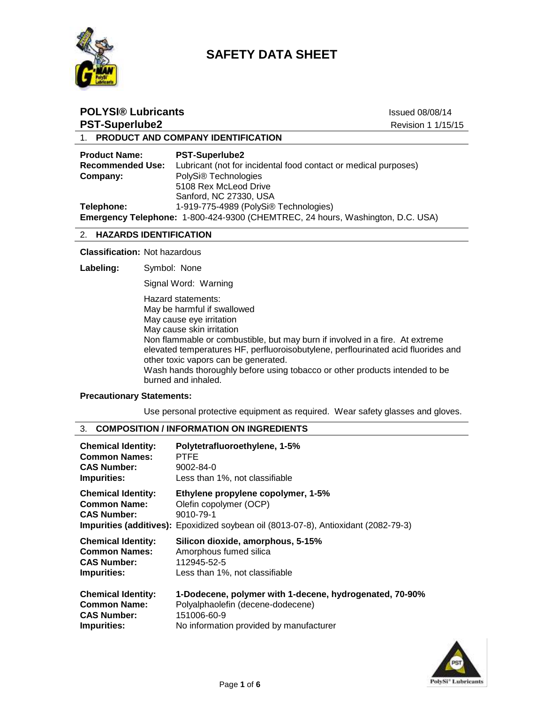



| <b>POLYSI® Lubricants</b>                  |                                                                                          | <b>Issued 08/08/14</b><br>Revision 1 1/15/15 |
|--------------------------------------------|------------------------------------------------------------------------------------------|----------------------------------------------|
| <b>PST-Superlube2</b>                      |                                                                                          |                                              |
|                                            | 1. PRODUCT AND COMPANY IDENTIFICATION                                                    |                                              |
| <b>Product Name:</b><br>Racommandad I Isa. | <b>PST-Superlube2</b><br>Lubricant (not for incidental food contact or medical nurnoses) |                                              |

| <b>Recommended Use:</b> | Lubricant (not for incidental food contact or medical purposes)                |
|-------------------------|--------------------------------------------------------------------------------|
| Company:                | PolySi <sup>®</sup> Technologies                                               |
|                         | 5108 Rex McLeod Drive                                                          |
|                         | Sanford, NC 27330, USA                                                         |
| Telephone:              | 1-919-775-4989 (PolySi® Technologies)                                          |
|                         | Emergency Telephone: 1-800-424-9300 (CHEMTREC, 24 hours, Washington, D.C. USA) |

#### 2. **HAZARDS IDENTIFICATION**

**Classification:** Not hazardous

**Labeling:** Symbol: None

Signal Word: Warning

Hazard statements: May be harmful if swallowed May cause eye irritation May cause skin irritation Non flammable or combustible, but may burn if involved in a fire. At extreme elevated temperatures HF, perfluoroisobutylene, perflourinated acid fluorides and other toxic vapors can be generated. Wash hands thoroughly before using tobacco or other products intended to be burned and inhaled.

## **Precautionary Statements:**

Use personal protective equipment as required. Wear safety glasses and gloves.

## 3. **COMPOSITION / INFORMATION ON INGREDIENTS**

| <b>Chemical Identity:</b>                                              | Polytetrafluoroethylene, 1-5%                                                                                                                                    |
|------------------------------------------------------------------------|------------------------------------------------------------------------------------------------------------------------------------------------------------------|
| <b>Common Names:</b>                                                   | <b>PTFE</b>                                                                                                                                                      |
| <b>CAS Number:</b>                                                     | 9002-84-0                                                                                                                                                        |
| Impurities:                                                            | Less than 1%, not classifiable                                                                                                                                   |
| <b>Chemical Identity:</b><br><b>Common Name:</b><br><b>CAS Number:</b> | Ethylene propylene copolymer, 1-5%<br>Olefin copolymer (OCP)<br>9010-79-1<br>Impurities (additives): Epoxidized soybean oil (8013-07-8), Antioxidant (2082-79-3) |
| <b>Chemical Identity:</b>                                              | Silicon dioxide, amorphous, 5-15%                                                                                                                                |
| <b>Common Names:</b>                                                   | Amorphous fumed silica                                                                                                                                           |
| <b>CAS Number:</b>                                                     | 112945-52-5                                                                                                                                                      |
| <b>Impurities:</b>                                                     | Less than 1%, not classifiable                                                                                                                                   |
| <b>Chemical Identity:</b>                                              | 1-Dodecene, polymer with 1-decene, hydrogenated, 70-90%                                                                                                          |
| <b>Common Name:</b>                                                    | Polyalphaolefin (decene-dodecene)                                                                                                                                |
| <b>CAS Number:</b>                                                     | 151006-60-9                                                                                                                                                      |

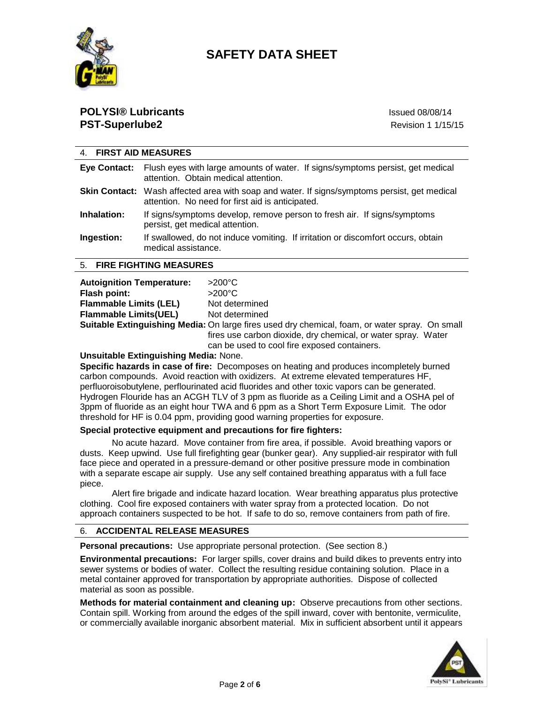

## **POLYSI® Lubricants** International Control of the International Control of the Issued 08/08/14 **PST-Superlube2** Revision 1 1/15/15

| 4. FIRST AID MEASURES     |                                                                                                                                                  |
|---------------------------|--------------------------------------------------------------------------------------------------------------------------------------------------|
|                           | <b>Eye Contact:</b> Flush eyes with large amounts of water. If signs/symptoms persist, get medical<br>attention. Obtain medical attention.       |
|                           | Skin Contact: Wash affected area with soap and water. If signs/symptoms persist, get medical<br>attention. No need for first aid is anticipated. |
| Inhalation:               | If signs/symptoms develop, remove person to fresh air. If signs/symptoms<br>persist, get medical attention.                                      |
| Ingestion:                | If swallowed, do not induce vomiting. If irritation or discomfort occurs, obtain<br>medical assistance.                                          |
| 5. FIRE FIGHTING MEASURES |                                                                                                                                                  |
|                           |                                                                                                                                                  |

| <b>Autoignition Temperature:</b> | $>200^{\circ}$ C                |
|----------------------------------|---------------------------------|
| Flash point:                     | $>200^{\circ}$ C                |
|                                  | <b>Allenta de la caractería</b> |

| I IASII PUIIIL.               | 22UU U                                                                                                |
|-------------------------------|-------------------------------------------------------------------------------------------------------|
| <b>Flammable Limits (LEL)</b> | Not determined                                                                                        |
| <b>Flammable Limits(UEL)</b>  | Not determined                                                                                        |
|                               | <b>Suitable Extinguishing Media:</b> On large fires used dry chemical, foam, or water spray. On small |
|                               | fires use carbon dioxide, dry chemical, or water spray. Water                                         |
|                               | can be used to cool fire exposed containers.                                                          |

## **Unsuitable Extinguishing Media:** None.

**Specific hazards in case of fire:** Decomposes on heating and produces incompletely burned carbon compounds. Avoid reaction with oxidizers. At extreme elevated temperatures HF, perfluoroisobutylene, perflourinated acid fluorides and other toxic vapors can be generated. Hydrogen Flouride has an ACGH TLV of 3 ppm as fluoride as a Ceiling Limit and a OSHA pel of 3ppm of fluoride as an eight hour TWA and 6 ppm as a Short Term Exposure Limit. The odor threshold for HF is 0.04 ppm, providing good warning properties for exposure.

## **Special protective equipment and precautions for fire fighters:**

No acute hazard. Move container from fire area, if possible. Avoid breathing vapors or dusts. Keep upwind. Use full firefighting gear (bunker gear). Any supplied-air respirator with full face piece and operated in a pressure-demand or other positive pressure mode in combination with a separate escape air supply. Use any self contained breathing apparatus with a full face piece.

Alert fire brigade and indicate hazard location. Wear breathing apparatus plus protective clothing. Cool fire exposed containers with water spray from a protected location. Do not approach containers suspected to be hot. If safe to do so, remove containers from path of fire.

## 6. **ACCIDENTAL RELEASE MEASURES**

**Personal precautions:** Use appropriate personal protection. (See section 8.)

**Environmental precautions:** For larger spills, cover drains and build dikes to prevents entry into sewer systems or bodies of water. Collect the resulting residue containing solution. Place in a metal container approved for transportation by appropriate authorities. Dispose of collected material as soon as possible.

**Methods for material containment and cleaning up:** Observe precautions from other sections. Contain spill. Working from around the edges of the spill inward, cover with bentonite, vermiculite, or commercially available inorganic absorbent material. Mix in sufficient absorbent until it appears

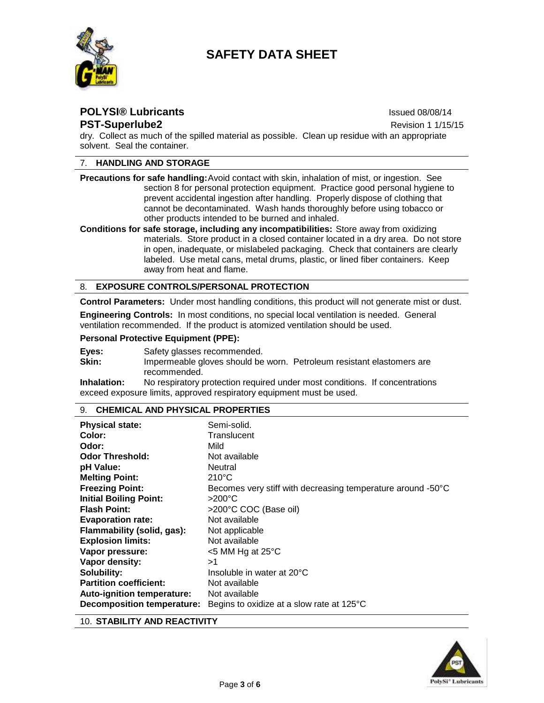

## **POLYSI® Lubricants** International Control of the International Control of the Issued 08/08/14 **PST-Superlube2 Revision 1 1/15/15**

dry. Collect as much of the spilled material as possible. Clean up residue with an appropriate solvent. Seal the container.

## 7. **HANDLING AND STORAGE**

**Precautions for safe handling:**Avoid contact with skin, inhalation of mist, or ingestion. See section 8 for personal protection equipment. Practice good personal hygiene to prevent accidental ingestion after handling. Properly dispose of clothing that cannot be decontaminated. Wash hands thoroughly before using tobacco or other products intended to be burned and inhaled.

**Conditions for safe storage, including any incompatibilities:** Store away from oxidizing materials. Store product in a closed container located in a dry area. Do not store in open, inadequate, or mislabeled packaging. Check that containers are clearly labeled. Use metal cans, metal drums, plastic, or lined fiber containers. Keep away from heat and flame.

### 8. **EXPOSURE CONTROLS/PERSONAL PROTECTION**

**Control Parameters:** Under most handling conditions, this product will not generate mist or dust.

**Engineering Controls:** In most conditions, no special local ventilation is needed. General ventilation recommended. If the product is atomized ventilation should be used.

#### **Personal Protective Equipment (PPE):**

- Eyes: Safety glasses recommended.
- Skin: Impermeable gloves should be worn. Petroleum resistant elastomers are recommended.

**Inhalation:** No respiratory protection required under most conditions. If concentrations exceed exposure limits, approved respiratory equipment must be used.

#### 9. **CHEMICAL AND PHYSICAL PROPERTIES**

| <b>Physical state:</b>        | Semi-solid.                                                 |
|-------------------------------|-------------------------------------------------------------|
| Color:                        | Translucent                                                 |
| Odor:                         | Mild                                                        |
| <b>Odor Threshold:</b>        | Not available                                               |
| pH Value:                     | Neutral                                                     |
| <b>Melting Point:</b>         | $210^{\circ}$ C                                             |
| <b>Freezing Point:</b>        | Becomes very stiff with decreasing temperature around -50°C |
| <b>Initial Boiling Point:</b> | >200°C                                                      |
| <b>Flash Point:</b>           | >200°C COC (Base oil)                                       |
| <b>Evaporation rate:</b>      | Not available                                               |
| Flammability (solid, gas):    | Not applicable                                              |
| <b>Explosion limits:</b>      | Not available                                               |
| Vapor pressure:               | $<$ 5 MM Hg at 25 $\degree$ C                               |
| Vapor density:                | >1                                                          |
| Solubility:                   | Insoluble in water at 20°C                                  |
| <b>Partition coefficient:</b> | Not available                                               |
| Auto-ignition temperature:    | Not available                                               |
| Decomposition temperature:    | Begins to oxidize at a slow rate at 125°C                   |

10. **STABILITY AND REACTIVITY**

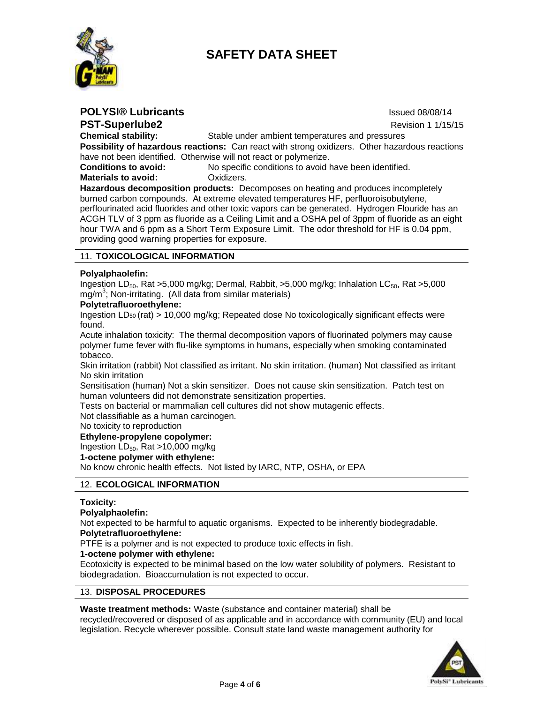



**POLYSI® Lubricants** International Control of the International Control of the Issued 08/08/14 **PST-Superlube2 Review Revision 1 1/15/15 Chemical stability:** Stable under ambient temperatures and pressures **Possibility of hazardous reactions:** Can react with strong oxidizers. Other hazardous reactions have not been identified. Otherwise will not react or polymerize. **Conditions to avoid:** No specific conditions to avoid have been identified.

**Materials to avoid: Calcular Conducts** Oxidizers.

**Hazardous decomposition products:** Decomposes on heating and produces incompletely burned carbon compounds. At extreme elevated temperatures HF, perfluoroisobutylene, perflourinated acid fluorides and other toxic vapors can be generated. Hydrogen Flouride has an ACGH TLV of 3 ppm as fluoride as a Ceiling Limit and a OSHA pel of 3ppm of fluoride as an eight hour TWA and 6 ppm as a Short Term Exposure Limit. The odor threshold for HF is 0.04 ppm, providing good warning properties for exposure.

### 11. **TOXICOLOGICAL INFORMATION**

#### **Polyalphaolefin:**

Ingestion LD $_{50}$ , Rat >5,000 mg/kg; Dermal, Rabbit, >5,000 mg/kg; Inhalation LC $_{50}$ , Rat >5,000 mg/m<sup>3</sup>; Non-irritating. (All data from similar materials)

#### **Polytetrafluoroethylene:**

Ingestion  $LD_{50}$  (rat) > 10,000 mg/kg; Repeated dose No toxicologically significant effects were found.

Acute inhalation toxicity: The thermal decomposition vapors of fluorinated polymers may cause polymer fume fever with flu-like symptoms in humans, especially when smoking contaminated tobacco.

Skin irritation (rabbit) Not classified as irritant. No skin irritation. (human) Not classified as irritant No skin irritation

Sensitisation (human) Not a skin sensitizer. Does not cause skin sensitization. Patch test on human volunteers did not demonstrate sensitization properties.

Tests on bacterial or mammalian cell cultures did not show mutagenic effects.

Not classifiable as a human carcinogen.

No toxicity to reproduction

#### **Ethylene-propylene copolymer:**

Ingestion  $LD_{50}$ , Rat >10,000 mg/kg

**1-octene polymer with ethylene:**

No know chronic health effects. Not listed by IARC, NTP, OSHA, or EPA

#### 12. **ECOLOGICAL INFORMATION**

#### **Toxicity:**

#### **Polyalphaolefin:**

Not expected to be harmful to aquatic organisms. Expected to be inherently biodegradable. **Polytetrafluoroethylene:**

PTFE is a polymer and is not expected to produce toxic effects in fish.

#### **1-octene polymer with ethylene:**

Ecotoxicity is expected to be minimal based on the low water solubility of polymers. Resistant to biodegradation. Bioaccumulation is not expected to occur.

## 13. **DISPOSAL PROCEDURES**

#### **Waste treatment methods:** Waste (substance and container material) shall be

recycled/recovered or disposed of as applicable and in accordance with community (EU) and local legislation. Recycle wherever possible. Consult state land waste management authority for

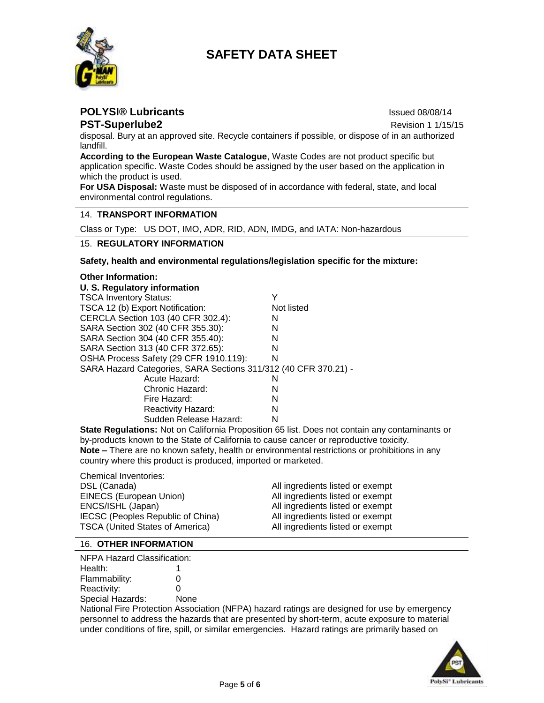

**POLYSI® Lubricants** International Control of the International Control of the Issued 08/08/14

**PST-Superlube2 Revision 1 1/15/15** 

disposal. Bury at an approved site. Recycle containers if possible, or dispose of in an authorized landfill.

**According to the European Waste Catalogue**, Waste Codes are not product specific but application specific. Waste Codes should be assigned by the user based on the application in which the product is used.

**For USA Disposal:** Waste must be disposed of in accordance with federal, state, and local environmental control regulations.

## 14. **TRANSPORT INFORMATION**

Class or Type: US DOT, IMO, ADR, RID, ADN, IMDG, and IATA: Non-hazardous

### 15. **REGULATORY INFORMATION**

**Safety, health and environmental regulations/legislation specific for the mixture:**

#### **Other Information: U. S. Regulatory information** TSCA Inventory Status: Y TSCA 12 (b) Export Notification: Not listed CERCLA Section 103 (40 CFR 302.4): N SARA Section 302 (40 CFR 355.30): N SARA Section 304 (40 CFR 355.40): N SARA Section 313 (40 CFR 372.65): N OSHA Process Safety (29 CFR 1910.119): N SARA Hazard Categories, SARA Sections 311/312 (40 CFR 370.21) - Acute Hazard: N Chronic Hazard: N Fire Hazard: N Reactivity Hazard: N Sudden Release Hazard: N

**State Regulations:** Not on California Proposition 65 list. Does not contain any contaminants or by-products known to the State of California to cause cancer or reproductive toxicity. **Note –** There are no known safety, health or environmental restrictions or prohibitions in any country where this product is produced, imported or marketed.

| <b>Chemical Inventories:</b>           |                                  |
|----------------------------------------|----------------------------------|
| DSL (Canada)                           | All ingredients listed or exempt |
| EINECS (European Union)                | All ingredients listed or exempt |
| ENCS/ISHL (Japan)                      | All ingredients listed or exempt |
| IECSC (Peoples Republic of China)      | All ingredients listed or exempt |
| <b>TSCA (United States of America)</b> | All ingredients listed or exempt |

#### 16. **OTHER INFORMATION**

NFPA Hazard Classification: Health: 1 Flammability: 0 Reactivity: 0 Special Hazards: None

National Fire Protection Association (NFPA) hazard ratings are designed for use by emergency personnel to address the hazards that are presented by short-term, acute exposure to material under conditions of fire, spill, or similar emergencies. Hazard ratings are primarily based on